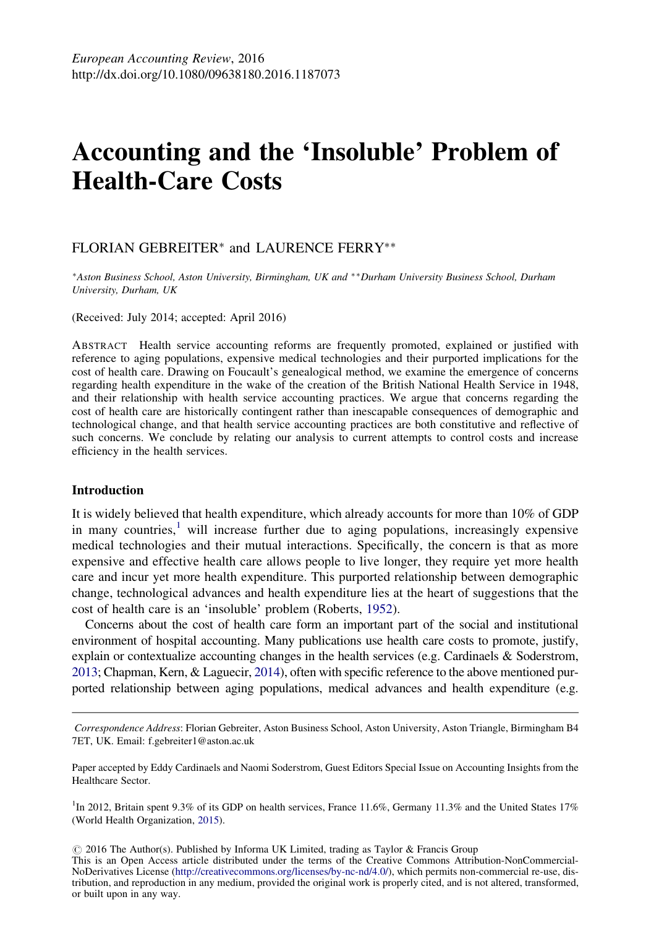# <span id="page-0-0"></span>Accounting and the 'Insoluble' Problem of Health-Care Costs

# FLORIAN GEBREITER<sup>∗</sup> and LAURENCE FERRY∗∗

<sup>∗</sup>Aston Business School, Aston University, Birmingham, UK and ∗ ∗Durham University Business School, Durham University, Durham, UK

(Received: July 2014; accepted: April 2016)

ABSTRACT Health service accounting reforms are frequently promoted, explained or justified with reference to aging populations, expensive medical technologies and their purported implications for the cost of health care. Drawing on Foucault's genealogical method, we examine the emergence of concerns regarding health expenditure in the wake of the creation of the British National Health Service in 1948, and their relationship with health service accounting practices. We argue that concerns regarding the cost of health care are historically contingent rather than inescapable consequences of demographic and technological change, and that health service accounting practices are both constitutive and reflective of such concerns. We conclude by relating our analysis to current attempts to control costs and increase efficiency in the health services.

#### Introduction

It is widely believed that health expenditure, which already accounts for more than 10% of GDP in many countries, $\frac{1}{2}$  will increase further due to aging populations, increasingly expensive medical technologies and their mutual interactions. Specifically, the concern is that as more expensive and effective health care allows people to live longer, they require yet more health care and incur yet more health expenditure. This purported relationship between demographic change, technological advances and health expenditure lies at the heart of suggestions that the cost of health care is an 'insoluble' problem (Roberts, [1952\)](#page-14-0).

Concerns about the cost of health care form an important part of the social and institutional environment of hospital accounting. Many publications use health care costs to promote, justify, explain or contextualize accounting changes in the health services (e.g. Cardinaels & Soderstrom, [2013](#page-12-0); Chapman, Kern, & Laguecir, [2014](#page-12-0)), often with specific reference to the above mentioned purported relationship between aging populations, medical advances and health expenditure (e.g.

Correspondence Address: Florian Gebreiter, Aston Business School, Aston University, Aston Triangle, Birmingham B4 7ET, UK. Email: [f.gebreiter1@aston.ac.uk](mailto:f.gebreiter1@aston.ac.uk)

Paper accepted by Eddy Cardinaels and Naomi Soderstrom, Guest Editors Special Issue on Accounting Insights from the Healthcare Sector.

<sup>1</sup>In 2012, Britain spent 9.3% of its GDP on health services, France 11.6%, Germany 11.3% and the United States 17% (World Health Organization, [2015\)](#page-14-0).

 $\odot$  2016 The Author(s). Published by Informa UK Limited, trading as Taylor & Francis Group

This is an Open Access article distributed under the terms of the Creative Commons Attribution-NonCommercial-NoDerivatives License (<http://creativecommons.org/licenses/by-nc-nd/4.0/>), which permits non-commercial re-use, distribution, and reproduction in any medium, provided the original work is properly cited, and is not altered, transformed, or built upon in any way.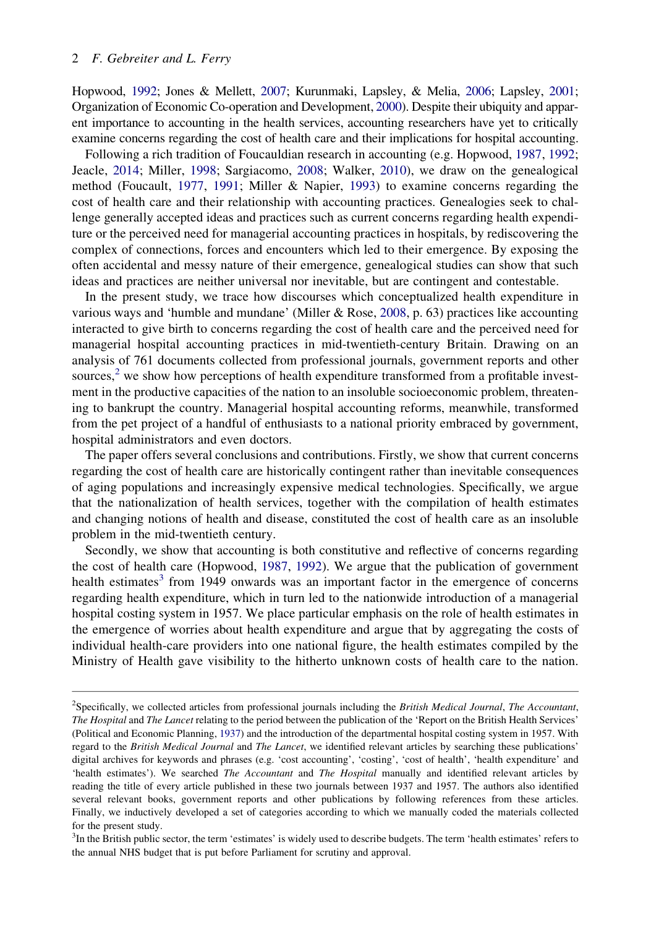<span id="page-1-0"></span>Hopwood, [1992;](#page-13-0) Jones & Mellett, [2007](#page-13-0); Kurunmaki, Lapsley, & Melia, [2006](#page-13-0); Lapsley, [2001;](#page-13-0) Organization of Economic Co-operation and Development, [2000](#page-14-0)). Despite their ubiquity and apparent importance to accounting in the health services, accounting researchers have yet to critically examine concerns regarding the cost of health care and their implications for hospital accounting.

Following a rich tradition of Foucauldian research in accounting (e.g. Hopwood, [1987,](#page-13-0) [1992;](#page-13-0) Jeacle, [2014;](#page-13-0) Miller, [1998](#page-13-0); Sargiacomo, [2008](#page-14-0); Walker, [2010](#page-14-0)), we draw on the genealogical method (Foucault, [1977,](#page-12-0) [1991;](#page-12-0) Miller & Napier, [1993\)](#page-13-0) to examine concerns regarding the cost of health care and their relationship with accounting practices. Genealogies seek to challenge generally accepted ideas and practices such as current concerns regarding health expenditure or the perceived need for managerial accounting practices in hospitals, by rediscovering the complex of connections, forces and encounters which led to their emergence. By exposing the often accidental and messy nature of their emergence, genealogical studies can show that such ideas and practices are neither universal nor inevitable, but are contingent and contestable.

In the present study, we trace how discourses which conceptualized health expenditure in various ways and 'humble and mundane' (Miller & Rose, [2008](#page-13-0), p. 63) practices like accounting interacted to give birth to concerns regarding the cost of health care and the perceived need for managerial hospital accounting practices in mid-twentieth-century Britain. Drawing on an analysis of 761 documents collected from professional journals, government reports and other sources,<sup>2</sup> we show how perceptions of health expenditure transformed from a profitable investment in the productive capacities of the nation to an insoluble socioeconomic problem, threatening to bankrupt the country. Managerial hospital accounting reforms, meanwhile, transformed from the pet project of a handful of enthusiasts to a national priority embraced by government, hospital administrators and even doctors.

The paper offers several conclusions and contributions. Firstly, we show that current concerns regarding the cost of health care are historically contingent rather than inevitable consequences of aging populations and increasingly expensive medical technologies. Specifically, we argue that the nationalization of health services, together with the compilation of health estimates and changing notions of health and disease, constituted the cost of health care as an insoluble problem in the mid-twentieth century.

Secondly, we show that accounting is both constitutive and reflective of concerns regarding the cost of health care (Hopwood, [1987](#page-13-0), [1992](#page-13-0)). We argue that the publication of government health estimates<sup>3</sup> from 1949 onwards was an important factor in the emergence of concerns regarding health expenditure, which in turn led to the nationwide introduction of a managerial hospital costing system in 1957. We place particular emphasis on the role of health estimates in the emergence of worries about health expenditure and argue that by aggregating the costs of individual health-care providers into one national figure, the health estimates compiled by the Ministry of Health gave visibility to the hitherto unknown costs of health care to the nation.

<sup>&</sup>lt;sup>2</sup>Specifically, we collected articles from professional journals including the British Medical Journal, The Accountant, The Hospital and The Lancet relating to the period between the publication of the 'Report on the British Health Services' (Political and Economic Planning, [1937](#page-14-0)) and the introduction of the departmental hospital costing system in 1957. With regard to the British Medical Journal and The Lancet, we identified relevant articles by searching these publications' digital archives for keywords and phrases (e.g. 'cost accounting', 'costing', 'cost of health', 'health expenditure' and 'health estimates'). We searched The Accountant and The Hospital manually and identified relevant articles by reading the title of every article published in these two journals between 1937 and 1957. The authors also identified several relevant books, government reports and other publications by following references from these articles. Finally, we inductively developed a set of categories according to which we manually coded the materials collected for the present study.

<sup>&</sup>lt;sup>3</sup>In the British public sector, the term 'estimates' is widely used to describe budgets. The term 'health estimates' refers to the annual NHS budget that is put before Parliament for scrutiny and approval.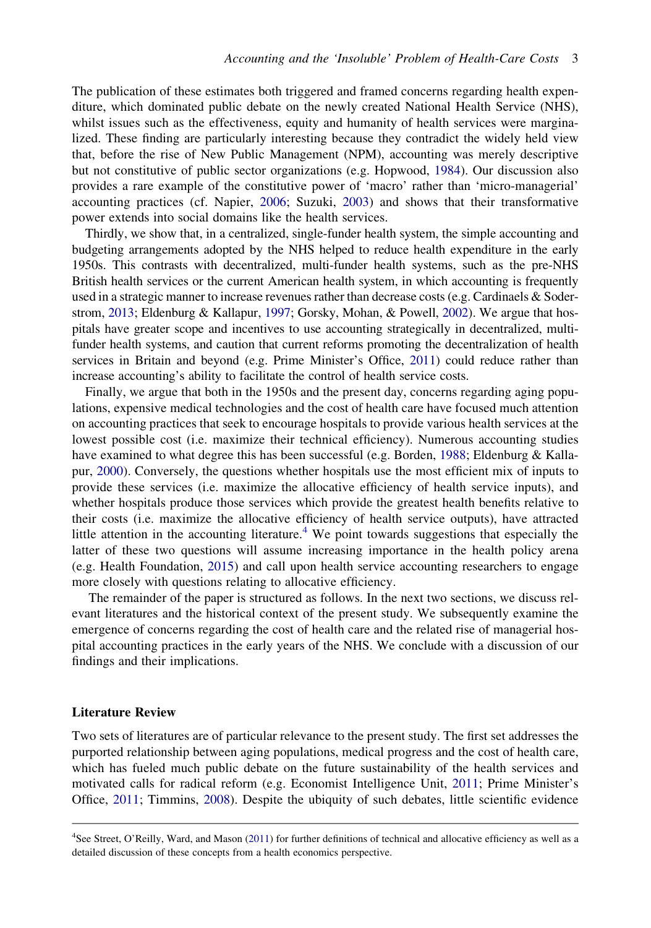<span id="page-2-0"></span>The publication of these estimates both triggered and framed concerns regarding health expenditure, which dominated public debate on the newly created National Health Service (NHS), whilst issues such as the effectiveness, equity and humanity of health services were marginalized. These finding are particularly interesting because they contradict the widely held view that, before the rise of New Public Management (NPM), accounting was merely descriptive but not constitutive of public sector organizations (e.g. Hopwood, [1984](#page-13-0)). Our discussion also provides a rare example of the constitutive power of 'macro' rather than 'micro-managerial' accounting practices (cf. Napier, [2006](#page-14-0); Suzuki, [2003\)](#page-14-0) and shows that their transformative power extends into social domains like the health services.

Thirdly, we show that, in a centralized, single-funder health system, the simple accounting and budgeting arrangements adopted by the NHS helped to reduce health expenditure in the early 1950s. This contrasts with decentralized, multi-funder health systems, such as the pre-NHS British health services or the current American health system, in which accounting is frequently used in a strategic manner to increase revenues rather than decrease costs (e.g. Cardinaels & Soderstrom, [2013;](#page-12-0) Eldenburg & Kallapur, [1997](#page-12-0); Gorsky, Mohan, & Powell, [2002\)](#page-13-0). We argue that hospitals have greater scope and incentives to use accounting strategically in decentralized, multifunder health systems, and caution that current reforms promoting the decentralization of health services in Britain and beyond (e.g. Prime Minister's Office, [2011](#page-14-0)) could reduce rather than increase accounting's ability to facilitate the control of health service costs.

Finally, we argue that both in the 1950s and the present day, concerns regarding aging populations, expensive medical technologies and the cost of health care have focused much attention on accounting practices that seek to encourage hospitals to provide various health services at the lowest possible cost (i.e. maximize their technical efficiency). Numerous accounting studies have examined to what degree this has been successful (e.g. Borden, [1988](#page-12-0); Eldenburg & Kallapur, [2000](#page-12-0)). Conversely, the questions whether hospitals use the most efficient mix of inputs to provide these services (i.e. maximize the allocative efficiency of health service inputs), and whether hospitals produce those services which provide the greatest health benefits relative to their costs (i.e. maximize the allocative efficiency of health service outputs), have attracted little attention in the accounting literature.<sup>4</sup> We point towards suggestions that especially the latter of these two questions will assume increasing importance in the health policy arena (e.g. Health Foundation, [2015](#page-13-0)) and call upon health service accounting researchers to engage more closely with questions relating to allocative efficiency.

The remainder of the paper is structured as follows. In the next two sections, we discuss relevant literatures and the historical context of the present study. We subsequently examine the emergence of concerns regarding the cost of health care and the related rise of managerial hospital accounting practices in the early years of the NHS. We conclude with a discussion of our findings and their implications.

# Literature Review

Two sets of literatures are of particular relevance to the present study. The first set addresses the purported relationship between aging populations, medical progress and the cost of health care, which has fueled much public debate on the future sustainability of the health services and motivated calls for radical reform (e.g. Economist Intelligence Unit, [2011;](#page-12-0) Prime Minister's Office, [2011;](#page-14-0) Timmins, [2008](#page-14-0)). Despite the ubiquity of such debates, little scientific evidence

<sup>4</sup> See Street, O'Reilly, Ward, and Mason ([2011](#page-14-0)) for further definitions of technical and allocative efficiency as well as a detailed discussion of these concepts from a health economics perspective.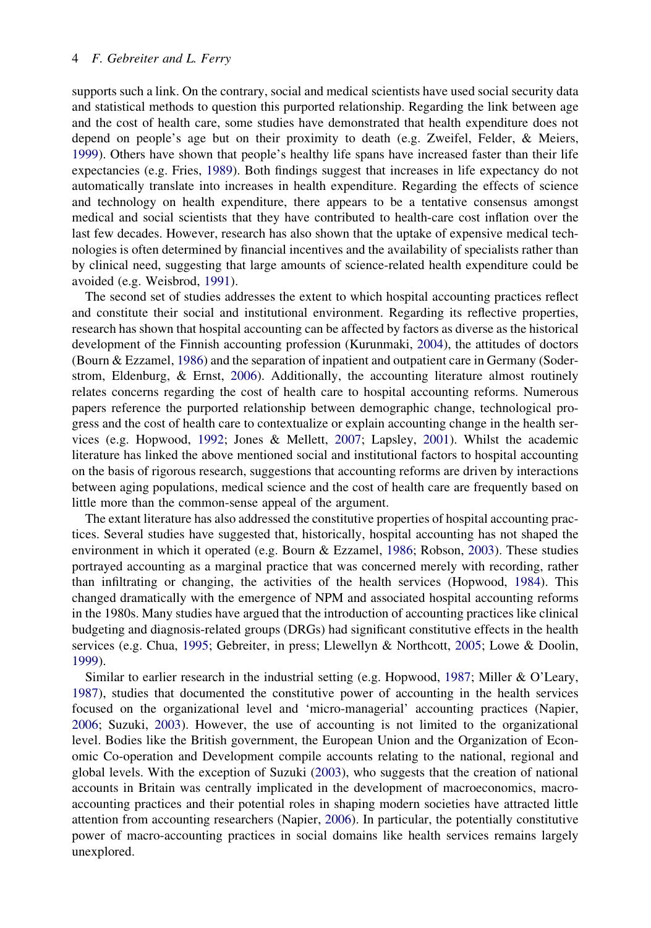## <span id="page-3-0"></span>4 F. Gebreiter and L. Ferry

supports such a link. On the contrary, social and medical scientists have used social security data and statistical methods to question this purported relationship. Regarding the link between age and the cost of health care, some studies have demonstrated that health expenditure does not depend on people's age but on their proximity to death (e.g. Zweifel, Felder, & Meiers, [1999\)](#page-14-0). Others have shown that people's healthy life spans have increased faster than their life expectancies (e.g. Fries, [1989](#page-12-0)). Both findings suggest that increases in life expectancy do not automatically translate into increases in health expenditure. Regarding the effects of science and technology on health expenditure, there appears to be a tentative consensus amongst medical and social scientists that they have contributed to health-care cost inflation over the last few decades. However, research has also shown that the uptake of expensive medical technologies is often determined by financial incentives and the availability of specialists rather than by clinical need, suggesting that large amounts of science-related health expenditure could be avoided (e.g. Weisbrod, [1991\)](#page-14-0).

The second set of studies addresses the extent to which hospital accounting practices reflect and constitute their social and institutional environment. Regarding its reflective properties, research has shown that hospital accounting can be affected by factors as diverse as the historical development of the Finnish accounting profession (Kurunmaki, [2004](#page-13-0)), the attitudes of doctors (Bourn & Ezzamel, [1986](#page-12-0)) and the separation of inpatient and outpatient care in Germany (Soderstrom, Eldenburg, & Ernst, [2006\)](#page-14-0). Additionally, the accounting literature almost routinely relates concerns regarding the cost of health care to hospital accounting reforms. Numerous papers reference the purported relationship between demographic change, technological progress and the cost of health care to contextualize or explain accounting change in the health services (e.g. Hopwood, [1992;](#page-13-0) Jones & Mellett, [2007;](#page-13-0) Lapsley, [2001\)](#page-13-0). Whilst the academic literature has linked the above mentioned social and institutional factors to hospital accounting on the basis of rigorous research, suggestions that accounting reforms are driven by interactions between aging populations, medical science and the cost of health care are frequently based on little more than the common-sense appeal of the argument.

The extant literature has also addressed the constitutive properties of hospital accounting practices. Several studies have suggested that, historically, hospital accounting has not shaped the environment in which it operated (e.g. Bourn & Ezzamel, [1986;](#page-12-0) Robson, [2003\)](#page-14-0). These studies portrayed accounting as a marginal practice that was concerned merely with recording, rather than infiltrating or changing, the activities of the health services (Hopwood, [1984\)](#page-13-0). This changed dramatically with the emergence of NPM and associated hospital accounting reforms in the 1980s. Many studies have argued that the introduction of accounting practices like clinical budgeting and diagnosis-related groups (DRGs) had significant constitutive effects in the health services (e.g. Chua, [1995](#page-12-0); Gebreiter, in press; Llewellyn & Northcott, [2005](#page-13-0); Lowe & Doolin, [1999\)](#page-13-0).

Similar to earlier research in the industrial setting (e.g. Hopwood, [1987;](#page-13-0) Miller & O'Leary, [1987\)](#page-13-0), studies that documented the constitutive power of accounting in the health services focused on the organizational level and 'micro-managerial' accounting practices (Napier, [2006;](#page-14-0) Suzuki, [2003](#page-14-0)). However, the use of accounting is not limited to the organizational level. Bodies like the British government, the European Union and the Organization of Economic Co-operation and Development compile accounts relating to the national, regional and global levels. With the exception of Suzuki ([2003\)](#page-14-0), who suggests that the creation of national accounts in Britain was centrally implicated in the development of macroeconomics, macroaccounting practices and their potential roles in shaping modern societies have attracted little attention from accounting researchers (Napier, [2006](#page-14-0)). In particular, the potentially constitutive power of macro-accounting practices in social domains like health services remains largely unexplored.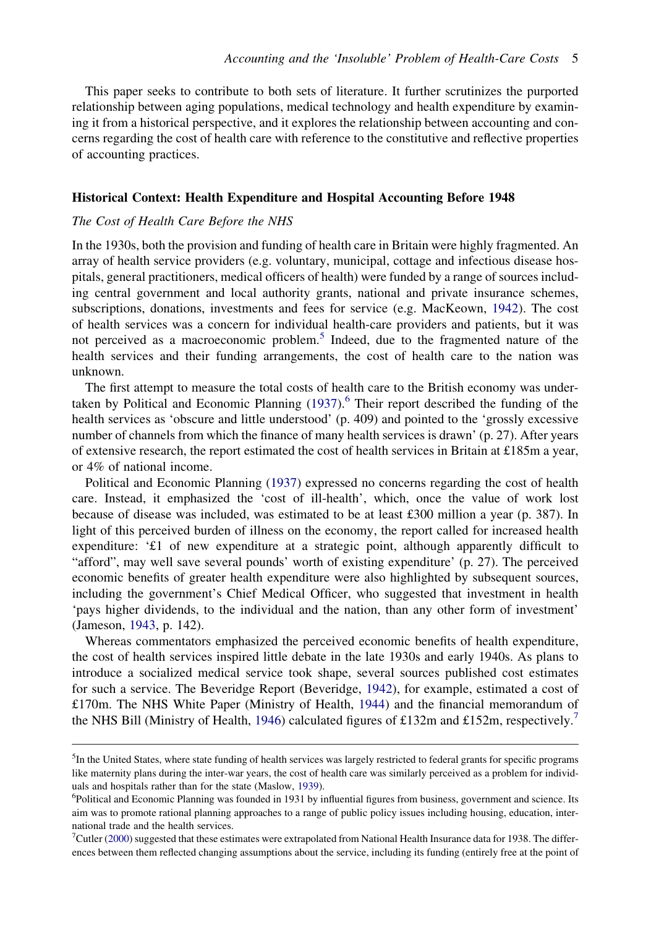<span id="page-4-0"></span>This paper seeks to contribute to both sets of literature. It further scrutinizes the purported relationship between aging populations, medical technology and health expenditure by examining it from a historical perspective, and it explores the relationship between accounting and concerns regarding the cost of health care with reference to the constitutive and reflective properties of accounting practices.

#### Historical Context: Health Expenditure and Hospital Accounting Before 1948

#### The Cost of Health Care Before the NHS

In the 1930s, both the provision and funding of health care in Britain were highly fragmented. An array of health service providers (e.g. voluntary, municipal, cottage and infectious disease hospitals, general practitioners, medical officers of health) were funded by a range of sources including central government and local authority grants, national and private insurance schemes, subscriptions, donations, investments and fees for service (e.g. MacKeown, [1942](#page-13-0)). The cost of health services was a concern for individual health-care providers and patients, but it was not perceived as a macroeconomic problem.<sup>5</sup> Indeed, due to the fragmented nature of the health services and their funding arrangements, the cost of health care to the nation was unknown.

The first attempt to measure the total costs of health care to the British economy was undertaken by Political and Economic Planning  $(1937)$  $(1937)$ .<sup>6</sup> Their report described the funding of the health services as 'obscure and little understood' (p. 409) and pointed to the 'grossly excessive number of channels from which the finance of many health services is drawn' (p. 27). After years of extensive research, the report estimated the cost of health services in Britain at £185m a year, or 4% of national income.

Political and Economic Planning [\(1937](#page-14-0)) expressed no concerns regarding the cost of health care. Instead, it emphasized the 'cost of ill-health', which, once the value of work lost because of disease was included, was estimated to be at least £300 million a year (p. 387). In light of this perceived burden of illness on the economy, the report called for increased health expenditure: '£1 of new expenditure at a strategic point, although apparently difficult to "afford", may well save several pounds' worth of existing expenditure' (p. 27). The perceived economic benefits of greater health expenditure were also highlighted by subsequent sources, including the government's Chief Medical Officer, who suggested that investment in health 'pays higher dividends, to the individual and the nation, than any other form of investment' (Jameson, [1943,](#page-13-0) p. 142).

Whereas commentators emphasized the perceived economic benefits of health expenditure, the cost of health services inspired little debate in the late 1930s and early 1940s. As plans to introduce a socialized medical service took shape, several sources published cost estimates for such a service. The Beveridge Report (Beveridge, [1942](#page-12-0)), for example, estimated a cost of £170m. The NHS White Paper (Ministry of Health, [1944\)](#page-13-0) and the financial memorandum of the NHS Bill (Ministry of Health, [1946](#page-13-0)) calculated figures of £132m and £152m, respectively.<sup>7</sup>

<sup>&</sup>lt;sup>5</sup>In the United States, where state funding of health services was largely restricted to federal grants for specific programs like maternity plans during the inter-war years, the cost of health care was similarly perceived as a problem for individ-uals and hospitals rather than for the state (Maslow, [1939\)](#page-13-0).

Political and Economic Planning was founded in 1931 by influential figures from business, government and science. Its aim was to promote rational planning approaches to a range of public policy issues including housing, education, international trade and the health services.

<sup>7</sup> Cutler ([2000\)](#page-12-0) suggested that these estimates were extrapolated from National Health Insurance data for 1938. The differences between them reflected changing assumptions about the service, including its funding (entirely free at the point of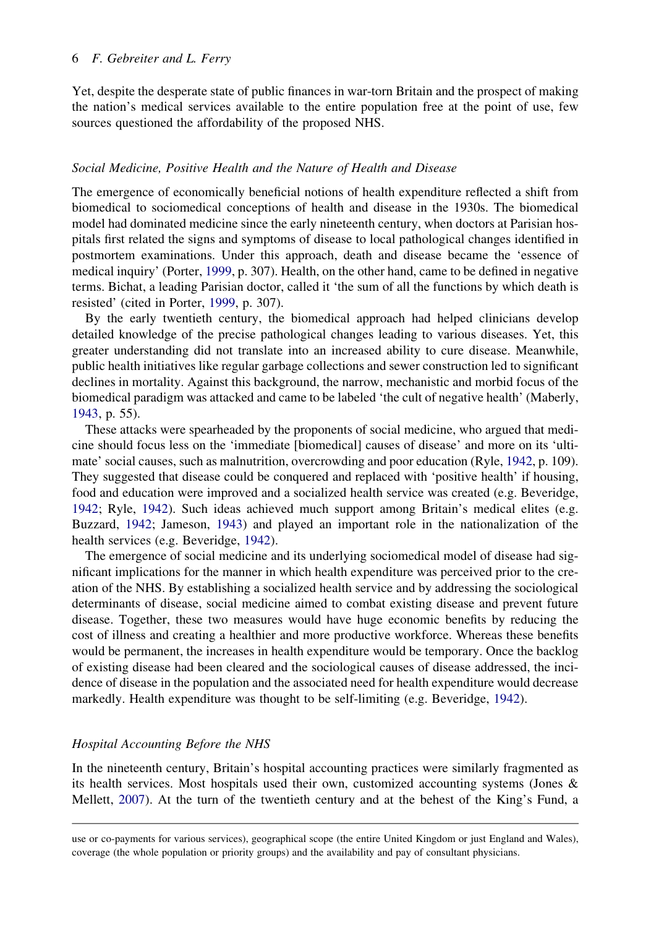#### <span id="page-5-0"></span>6 F. Gebreiter and L. Ferry

Yet, despite the desperate state of public finances in war-torn Britain and the prospect of making the nation's medical services available to the entire population free at the point of use, few sources questioned the affordability of the proposed NHS.

## Social Medicine, Positive Health and the Nature of Health and Disease

The emergence of economically beneficial notions of health expenditure reflected a shift from biomedical to sociomedical conceptions of health and disease in the 1930s. The biomedical model had dominated medicine since the early nineteenth century, when doctors at Parisian hospitals first related the signs and symptoms of disease to local pathological changes identified in postmortem examinations. Under this approach, death and disease became the 'essence of medical inquiry' (Porter, [1999,](#page-14-0) p. 307). Health, on the other hand, came to be defined in negative terms. Bichat, a leading Parisian doctor, called it 'the sum of all the functions by which death is resisted' (cited in Porter, [1999](#page-14-0), p. 307).

By the early twentieth century, the biomedical approach had helped clinicians develop detailed knowledge of the precise pathological changes leading to various diseases. Yet, this greater understanding did not translate into an increased ability to cure disease. Meanwhile, public health initiatives like regular garbage collections and sewer construction led to significant declines in mortality. Against this background, the narrow, mechanistic and morbid focus of the biomedical paradigm was attacked and came to be labeled 'the cult of negative health' (Maberly, [1943,](#page-13-0) p. 55).

These attacks were spearheaded by the proponents of social medicine, who argued that medicine should focus less on the 'immediate [biomedical] causes of disease' and more on its 'ultimate' social causes, such as malnutrition, overcrowding and poor education (Ryle, [1942,](#page-14-0) p. 109). They suggested that disease could be conquered and replaced with 'positive health' if housing, food and education were improved and a socialized health service was created (e.g. Beveridge, [1942;](#page-12-0) Ryle, [1942\)](#page-14-0). Such ideas achieved much support among Britain's medical elites (e.g. Buzzard, [1942](#page-12-0); Jameson, [1943\)](#page-13-0) and played an important role in the nationalization of the health services (e.g. Beveridge, [1942](#page-12-0)).

The emergence of social medicine and its underlying sociomedical model of disease had significant implications for the manner in which health expenditure was perceived prior to the creation of the NHS. By establishing a socialized health service and by addressing the sociological determinants of disease, social medicine aimed to combat existing disease and prevent future disease. Together, these two measures would have huge economic benefits by reducing the cost of illness and creating a healthier and more productive workforce. Whereas these benefits would be permanent, the increases in health expenditure would be temporary. Once the backlog of existing disease had been cleared and the sociological causes of disease addressed, the incidence of disease in the population and the associated need for health expenditure would decrease markedly. Health expenditure was thought to be self-limiting (e.g. Beveridge, [1942](#page-12-0)).

# Hospital Accounting Before the NHS

In the nineteenth century, Britain's hospital accounting practices were similarly fragmented as its health services. Most hospitals used their own, customized accounting systems (Jones & Mellett, [2007\)](#page-13-0). At the turn of the twentieth century and at the behest of the King's Fund, a

use or co-payments for various services), geographical scope (the entire United Kingdom or just England and Wales), coverage (the whole population or priority groups) and the availability and pay of consultant physicians.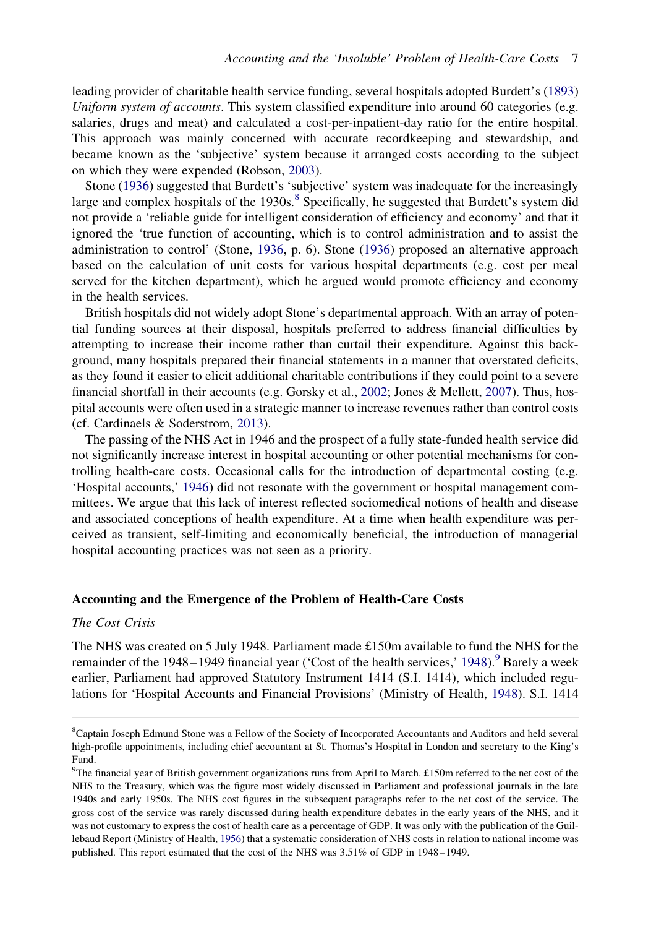<span id="page-6-0"></span>leading provider of charitable health service funding, several hospitals adopted Burdett's [\(1893](#page-12-0)) Uniform system of accounts. This system classified expenditure into around 60 categories (e.g. salaries, drugs and meat) and calculated a cost-per-inpatient-day ratio for the entire hospital. This approach was mainly concerned with accurate recordkeeping and stewardship, and became known as the 'subjective' system because it arranged costs according to the subject on which they were expended (Robson, [2003\)](#page-14-0).

Stone [\(1936](#page-14-0)) suggested that Burdett's 'subjective' system was inadequate for the increasingly large and complex hospitals of the  $1930s$ .<sup>8</sup> Specifically, he suggested that Burdett's system did not provide a 'reliable guide for intelligent consideration of efficiency and economy' and that it ignored the 'true function of accounting, which is to control administration and to assist the administration to control' (Stone, [1936,](#page-14-0) p. 6). Stone ([1936\)](#page-14-0) proposed an alternative approach based on the calculation of unit costs for various hospital departments (e.g. cost per meal served for the kitchen department), which he argued would promote efficiency and economy in the health services.

British hospitals did not widely adopt Stone's departmental approach. With an array of potential funding sources at their disposal, hospitals preferred to address financial difficulties by attempting to increase their income rather than curtail their expenditure. Against this background, many hospitals prepared their financial statements in a manner that overstated deficits, as they found it easier to elicit additional charitable contributions if they could point to a severe financial shortfall in their accounts (e.g. Gorsky et al., [2002;](#page-13-0) Jones & Mellett, [2007](#page-13-0)). Thus, hospital accounts were often used in a strategic manner to increase revenues rather than control costs (cf. Cardinaels & Soderstrom, [2013\)](#page-12-0).

The passing of the NHS Act in 1946 and the prospect of a fully state-funded health service did not significantly increase interest in hospital accounting or other potential mechanisms for controlling health-care costs. Occasional calls for the introduction of departmental costing (e.g. 'Hospital accounts,' [1946](#page-13-0)) did not resonate with the government or hospital management committees. We argue that this lack of interest reflected sociomedical notions of health and disease and associated conceptions of health expenditure. At a time when health expenditure was perceived as transient, self-limiting and economically beneficial, the introduction of managerial hospital accounting practices was not seen as a priority.

#### Accounting and the Emergence of the Problem of Health-Care Costs

## The Cost Crisis

The NHS was created on 5 July 1948. Parliament made £150m available to fund the NHS for the remainder of the [1948](#page-12-0)–1949 financial year ('Cost of the health services,' 1948).<sup>9</sup> Barely a week earlier, Parliament had approved Statutory Instrument 1414 (S.I. 1414), which included regulations for 'Hospital Accounts and Financial Provisions' (Ministry of Health, [1948\)](#page-13-0). S.I. 1414

<sup>8</sup> Captain Joseph Edmund Stone was a Fellow of the Society of Incorporated Accountants and Auditors and held several high-profile appointments, including chief accountant at St. Thomas's Hospital in London and secretary to the King's Fund.

<sup>&</sup>lt;sup>9</sup>The financial year of British government organizations runs from April to March. £150m referred to the net cost of the NHS to the Treasury, which was the figure most widely discussed in Parliament and professional journals in the late 1940s and early 1950s. The NHS cost figures in the subsequent paragraphs refer to the net cost of the service. The gross cost of the service was rarely discussed during health expenditure debates in the early years of the NHS, and it was not customary to express the cost of health care as a percentage of GDP. It was only with the publication of the Guillebaud Report (Ministry of Health, [1956\)](#page-13-0) that a systematic consideration of NHS costs in relation to national income was published. This report estimated that the cost of the NHS was 3.51% of GDP in 1948–1949.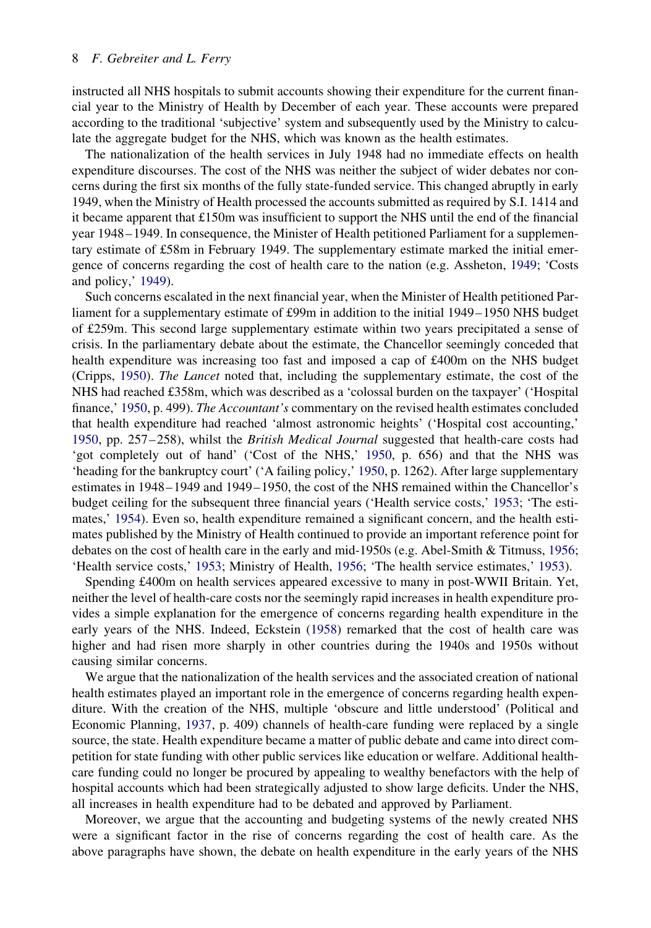<span id="page-7-0"></span>instructed all NHS hospitals to submit accounts showing their expenditure for the current financial year to the Ministry of Health by December of each year. These accounts were prepared according to the traditional 'subjective' system and subsequently used by the Ministry to calculate the aggregate budget for the NHS, which was known as the health estimates.

The nationalization of the health services in July 1948 had no immediate effects on health expenditure discourses. The cost of the NHS was neither the subject of wider debates nor concerns during the first six months of the fully state-funded service. This changed abruptly in early 1949, when the Ministry of Health processed the accounts submitted as required by S.I. 1414 and it became apparent that £150m was insufficient to support the NHS until the end of the financial year 1948 – 1949. In consequence, the Minister of Health petitioned Parliament for a supplementary estimate of £58m in February 1949. The supplementary estimate marked the initial emergence of concerns regarding the cost of health care to the nation (e.g. Assheton, [1949;](#page-12-0) 'Costs and policy,' [1949](#page-12-0)).

Such concerns escalated in the next financial year, when the Minister of Health petitioned Parliament for a supplementary estimate of £99m in addition to the initial 1949– 1950 NHS budget of £259m. This second large supplementary estimate within two years precipitated a sense of crisis. In the parliamentary debate about the estimate, the Chancellor seemingly conceded that health expenditure was increasing too fast and imposed a cap of £400m on the NHS budget (Cripps, [1950\)](#page-12-0). The Lancet noted that, including the supplementary estimate, the cost of the NHS had reached £358m, which was described as a 'colossal burden on the taxpayer' ('Hospital finance,' [1950,](#page-13-0) p. 499). The Accountant's commentary on the revised health estimates concluded that health expenditure had reached 'almost astronomic heights' ('Hospital cost accounting,' [1950,](#page-13-0) pp. 257–258), whilst the *British Medical Journal* suggested that health-care costs had 'got completely out of hand' ('Cost of the NHS,' [1950,](#page-12-0) p. 656) and that the NHS was 'heading for the bankruptcy court' ('A failing policy,' [1950](#page-12-0), p. 1262). After large supplementary estimates in 1948 – 1949 and 1949– 1950, the cost of the NHS remained within the Chancellor's budget ceiling for the subsequent three financial years ('Health service costs,' [1953;](#page-13-0) 'The estimates,' [1954\)](#page-14-0). Even so, health expenditure remained a significant concern, and the health estimates published by the Ministry of Health continued to provide an important reference point for debates on the cost of health care in the early and mid-1950s (e.g. Abel-Smith & Titmuss, [1956;](#page-12-0) 'Health service costs,' [1953](#page-13-0); Ministry of Health, [1956](#page-13-0); 'The health service estimates,' [1953](#page-14-0)).

Spending £400m on health services appeared excessive to many in post-WWII Britain. Yet, neither the level of health-care costs nor the seemingly rapid increases in health expenditure provides a simple explanation for the emergence of concerns regarding health expenditure in the early years of the NHS. Indeed, Eckstein ([1958\)](#page-12-0) remarked that the cost of health care was higher and had risen more sharply in other countries during the 1940s and 1950s without causing similar concerns.

We argue that the nationalization of the health services and the associated creation of national health estimates played an important role in the emergence of concerns regarding health expenditure. With the creation of the NHS, multiple 'obscure and little understood' (Political and Economic Planning, [1937,](#page-14-0) p. 409) channels of health-care funding were replaced by a single source, the state. Health expenditure became a matter of public debate and came into direct competition for state funding with other public services like education or welfare. Additional healthcare funding could no longer be procured by appealing to wealthy benefactors with the help of hospital accounts which had been strategically adjusted to show large deficits. Under the NHS, all increases in health expenditure had to be debated and approved by Parliament.

Moreover, we argue that the accounting and budgeting systems of the newly created NHS were a significant factor in the rise of concerns regarding the cost of health care. As the above paragraphs have shown, the debate on health expenditure in the early years of the NHS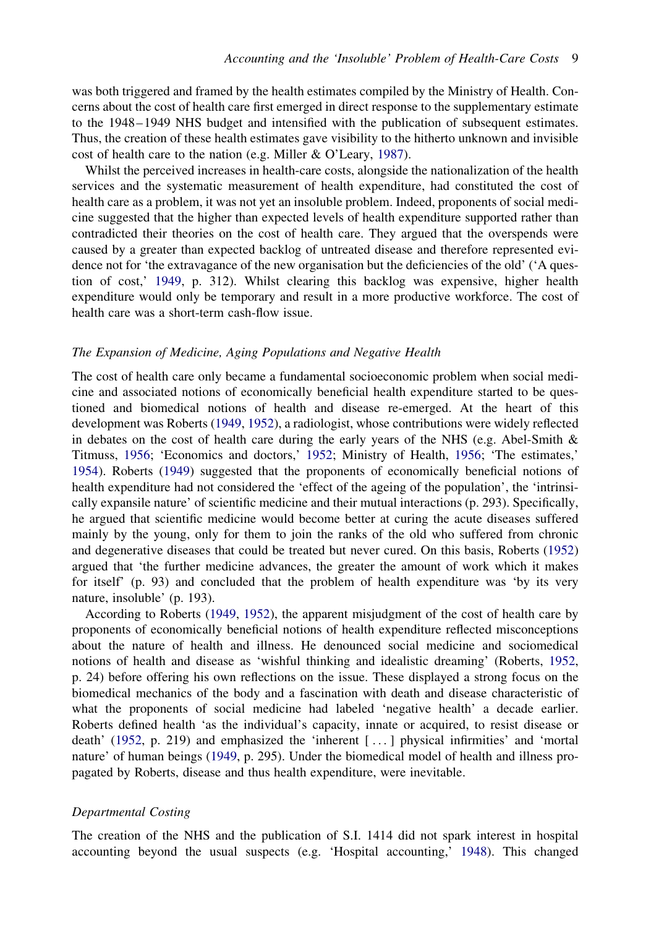<span id="page-8-0"></span>was both triggered and framed by the health estimates compiled by the Ministry of Health. Concerns about the cost of health care first emerged in direct response to the supplementary estimate to the 1948–1949 NHS budget and intensified with the publication of subsequent estimates. Thus, the creation of these health estimates gave visibility to the hitherto unknown and invisible cost of health care to the nation (e.g. Miller & O'Leary, [1987](#page-13-0)).

Whilst the perceived increases in health-care costs, alongside the nationalization of the health services and the systematic measurement of health expenditure, had constituted the cost of health care as a problem, it was not yet an insoluble problem. Indeed, proponents of social medicine suggested that the higher than expected levels of health expenditure supported rather than contradicted their theories on the cost of health care. They argued that the overspends were caused by a greater than expected backlog of untreated disease and therefore represented evidence not for 'the extravagance of the new organisation but the deficiencies of the old' ('A question of cost,' [1949](#page-12-0), p. 312). Whilst clearing this backlog was expensive, higher health expenditure would only be temporary and result in a more productive workforce. The cost of health care was a short-term cash-flow issue.

## The Expansion of Medicine, Aging Populations and Negative Health

The cost of health care only became a fundamental socioeconomic problem when social medicine and associated notions of economically beneficial health expenditure started to be questioned and biomedical notions of health and disease re-emerged. At the heart of this development was Roberts [\(1949](#page-14-0), [1952\)](#page-14-0), a radiologist, whose contributions were widely reflected in debates on the cost of health care during the early years of the NHS (e.g. Abel-Smith  $\&$ Titmuss, [1956;](#page-12-0) 'Economics and doctors,' [1952](#page-12-0); Ministry of Health, [1956;](#page-13-0) 'The estimates,' [1954\)](#page-14-0). Roberts ([1949\)](#page-14-0) suggested that the proponents of economically beneficial notions of health expenditure had not considered the 'effect of the ageing of the population', the 'intrinsically expansile nature' of scientific medicine and their mutual interactions (p. 293). Specifically, he argued that scientific medicine would become better at curing the acute diseases suffered mainly by the young, only for them to join the ranks of the old who suffered from chronic and degenerative diseases that could be treated but never cured. On this basis, Roberts [\(1952](#page-14-0)) argued that 'the further medicine advances, the greater the amount of work which it makes for itself' (p. 93) and concluded that the problem of health expenditure was 'by its very nature, insoluble' (p. 193).

According to Roberts ([1949,](#page-14-0) [1952\)](#page-14-0), the apparent misjudgment of the cost of health care by proponents of economically beneficial notions of health expenditure reflected misconceptions about the nature of health and illness. He denounced social medicine and sociomedical notions of health and disease as 'wishful thinking and idealistic dreaming' (Roberts, [1952](#page-14-0), p. 24) before offering his own reflections on the issue. These displayed a strong focus on the biomedical mechanics of the body and a fascination with death and disease characteristic of what the proponents of social medicine had labeled 'negative health' a decade earlier. Roberts defined health 'as the individual's capacity, innate or acquired, to resist disease or death' [\(1952](#page-14-0), p. 219) and emphasized the 'inherent [ ... ] physical infirmities' and 'mortal nature' of human beings ([1949,](#page-14-0) p. 295). Under the biomedical model of health and illness propagated by Roberts, disease and thus health expenditure, were inevitable.

#### Departmental Costing

The creation of the NHS and the publication of S.I. 1414 did not spark interest in hospital accounting beyond the usual suspects (e.g. 'Hospital accounting,' [1948](#page-13-0)). This changed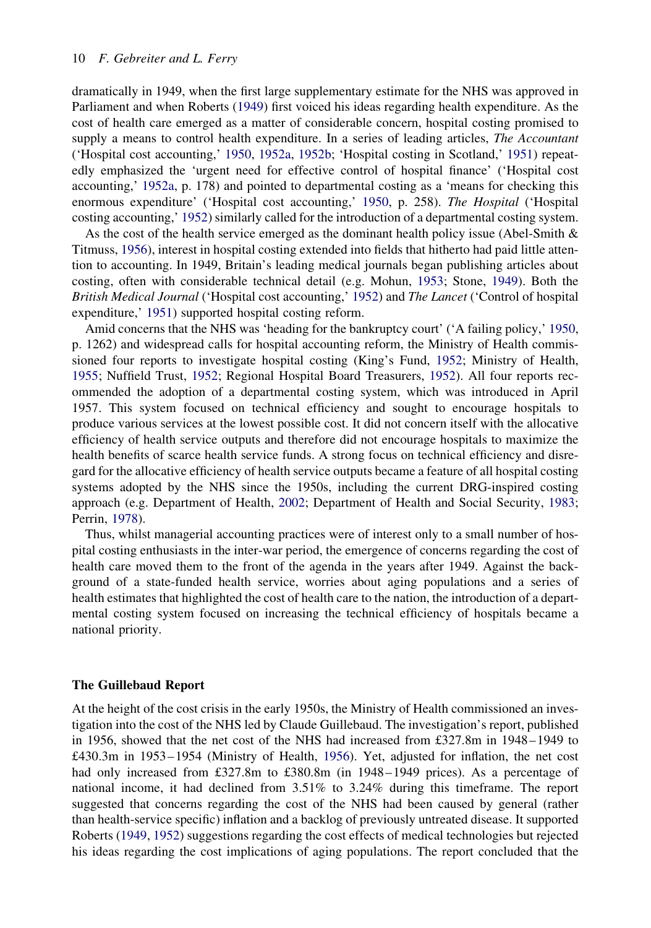<span id="page-9-0"></span>dramatically in 1949, when the first large supplementary estimate for the NHS was approved in Parliament and when Roberts ([1949\)](#page-14-0) first voiced his ideas regarding health expenditure. As the cost of health care emerged as a matter of considerable concern, hospital costing promised to supply a means to control health expenditure. In a series of leading articles, *The Accountant* ('Hospital cost accounting,' [1950,](#page-13-0) [1952a,](#page-13-0) [1952b](#page-13-0); 'Hospital costing in Scotland,' [1951](#page-13-0)) repeatedly emphasized the 'urgent need for effective control of hospital finance' ('Hospital cost accounting,' [1952a](#page-13-0), p. 178) and pointed to departmental costing as a 'means for checking this enormous expenditure' ('Hospital cost accounting,' [1950,](#page-13-0) p. 258). The Hospital ('Hospital costing accounting,' [1952\)](#page-13-0) similarly called for the introduction of a departmental costing system.

As the cost of the health service emerged as the dominant health policy issue (Abel-Smith  $\&$ Titmuss, [1956\)](#page-12-0), interest in hospital costing extended into fields that hitherto had paid little attention to accounting. In 1949, Britain's leading medical journals began publishing articles about costing, often with considerable technical detail (e.g. Mohun, [1953](#page-13-0); Stone, [1949\)](#page-14-0). Both the British Medical Journal ('Hospital cost accounting,' [1952\)](#page-13-0) and The Lancet ('Control of hospital expenditure,' [1951\)](#page-12-0) supported hospital costing reform.

Amid concerns that the NHS was 'heading for the bankruptcy court' ('A failing policy,' [1950](#page-12-0), p. 1262) and widespread calls for hospital accounting reform, the Ministry of Health commissioned four reports to investigate hospital costing (King's Fund, [1952;](#page-13-0) Ministry of Health, [1955;](#page-13-0) Nuffield Trust, [1952](#page-14-0); Regional Hospital Board Treasurers, [1952](#page-14-0)). All four reports recommended the adoption of a departmental costing system, which was introduced in April 1957. This system focused on technical efficiency and sought to encourage hospitals to produce various services at the lowest possible cost. It did not concern itself with the allocative efficiency of health service outputs and therefore did not encourage hospitals to maximize the health benefits of scarce health service funds. A strong focus on technical efficiency and disregard for the allocative efficiency of health service outputs became a feature of all hospital costing systems adopted by the NHS since the 1950s, including the current DRG-inspired costing approach (e.g. Department of Health, [2002](#page-12-0); Department of Health and Social Security, [1983;](#page-12-0) Perrin, [1978\)](#page-14-0).

Thus, whilst managerial accounting practices were of interest only to a small number of hospital costing enthusiasts in the inter-war period, the emergence of concerns regarding the cost of health care moved them to the front of the agenda in the years after 1949. Against the background of a state-funded health service, worries about aging populations and a series of health estimates that highlighted the cost of health care to the nation, the introduction of a departmental costing system focused on increasing the technical efficiency of hospitals became a national priority.

#### The Guillebaud Report

At the height of the cost crisis in the early 1950s, the Ministry of Health commissioned an investigation into the cost of the NHS led by Claude Guillebaud. The investigation's report, published in 1956, showed that the net cost of the NHS had increased from £327.8m in 1948 – 1949 to £430.3m in 1953 – 1954 (Ministry of Health, [1956](#page-13-0)). Yet, adjusted for inflation, the net cost had only increased from £327.8m to £380.8m (in 1948–1949 prices). As a percentage of national income, it had declined from 3.51% to 3.24% during this timeframe. The report suggested that concerns regarding the cost of the NHS had been caused by general (rather than health-service specific) inflation and a backlog of previously untreated disease. It supported Roberts [\(1949](#page-14-0), [1952](#page-14-0)) suggestions regarding the cost effects of medical technologies but rejected his ideas regarding the cost implications of aging populations. The report concluded that the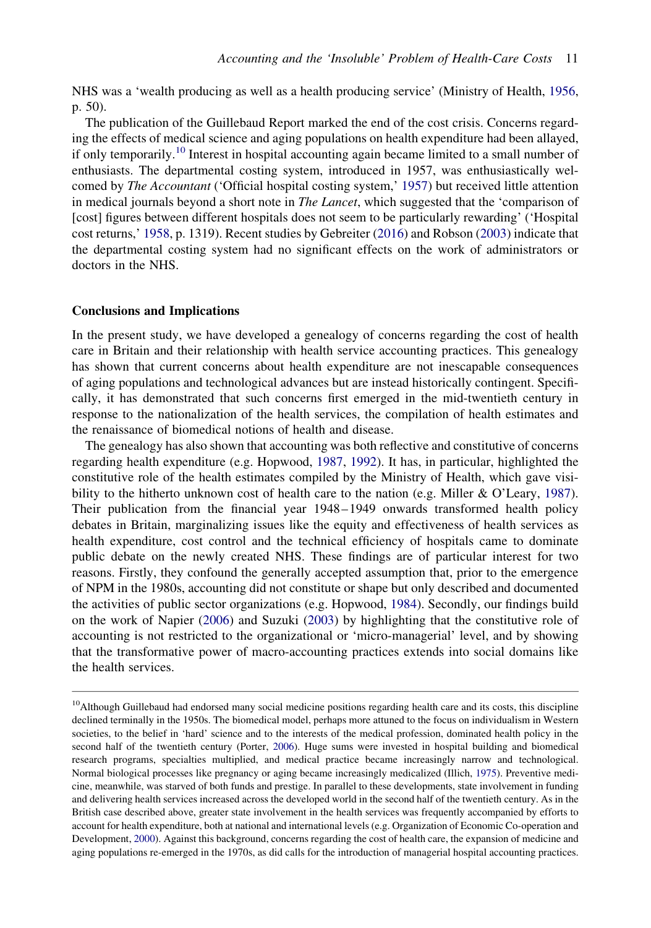<span id="page-10-0"></span>NHS was a 'wealth producing as well as a health producing service' (Ministry of Health, [1956](#page-13-0), p. 50).

The publication of the Guillebaud Report marked the end of the cost crisis. Concerns regarding the effects of medical science and aging populations on health expenditure had been allayed, if only temporarily.<sup>10</sup> Interest in hospital accounting again became limited to a small number of enthusiasts. The departmental costing system, introduced in 1957, was enthusiastically welcomed by The Accountant ('Official hospital costing system,' [1957](#page-14-0)) but received little attention in medical journals beyond a short note in *The Lancet*, which suggested that the 'comparison of [cost] figures between different hospitals does not seem to be particularly rewarding' ('Hospital cost returns,' [1958,](#page-13-0) p. 1319). Recent studies by Gebreiter [\(2016](#page-12-0)) and Robson [\(2003](#page-14-0)) indicate that the departmental costing system had no significant effects on the work of administrators or doctors in the NHS.

#### Conclusions and Implications

In the present study, we have developed a genealogy of concerns regarding the cost of health care in Britain and their relationship with health service accounting practices. This genealogy has shown that current concerns about health expenditure are not inescapable consequences of aging populations and technological advances but are instead historically contingent. Specifically, it has demonstrated that such concerns first emerged in the mid-twentieth century in response to the nationalization of the health services, the compilation of health estimates and the renaissance of biomedical notions of health and disease.

The genealogy has also shown that accounting was both reflective and constitutive of concerns regarding health expenditure (e.g. Hopwood, [1987](#page-13-0), [1992\)](#page-13-0). It has, in particular, highlighted the constitutive role of the health estimates compiled by the Ministry of Health, which gave visi-bility to the hitherto unknown cost of health care to the nation (e.g. Miller & O'Leary, [1987\)](#page-13-0). Their publication from the financial year 1948 – 1949 onwards transformed health policy debates in Britain, marginalizing issues like the equity and effectiveness of health services as health expenditure, cost control and the technical efficiency of hospitals came to dominate public debate on the newly created NHS. These findings are of particular interest for two reasons. Firstly, they confound the generally accepted assumption that, prior to the emergence of NPM in the 1980s, accounting did not constitute or shape but only described and documented the activities of public sector organizations (e.g. Hopwood, [1984](#page-13-0)). Secondly, our findings build on the work of Napier ([2006\)](#page-14-0) and Suzuki [\(2003](#page-14-0)) by highlighting that the constitutive role of accounting is not restricted to the organizational or 'micro-managerial' level, and by showing that the transformative power of macro-accounting practices extends into social domains like the health services.

<sup>&</sup>lt;sup>10</sup>Although Guillebaud had endorsed many social medicine positions regarding health care and its costs, this discipline declined terminally in the 1950s. The biomedical model, perhaps more attuned to the focus on individualism in Western societies, to the belief in 'hard' science and to the interests of the medical profession, dominated health policy in the second half of the twentieth century (Porter, [2006\)](#page-14-0). Huge sums were invested in hospital building and biomedical research programs, specialties multiplied, and medical practice became increasingly narrow and technological. Normal biological processes like pregnancy or aging became increasingly medicalized (Illich, [1975](#page-13-0)). Preventive medicine, meanwhile, was starved of both funds and prestige. In parallel to these developments, state involvement in funding and delivering health services increased across the developed world in the second half of the twentieth century. As in the British case described above, greater state involvement in the health services was frequently accompanied by efforts to account for health expenditure, both at national and international levels (e.g. Organization of Economic Co-operation and Development, [2000](#page-14-0)). Against this background, concerns regarding the cost of health care, the expansion of medicine and aging populations re-emerged in the 1970s, as did calls for the introduction of managerial hospital accounting practices.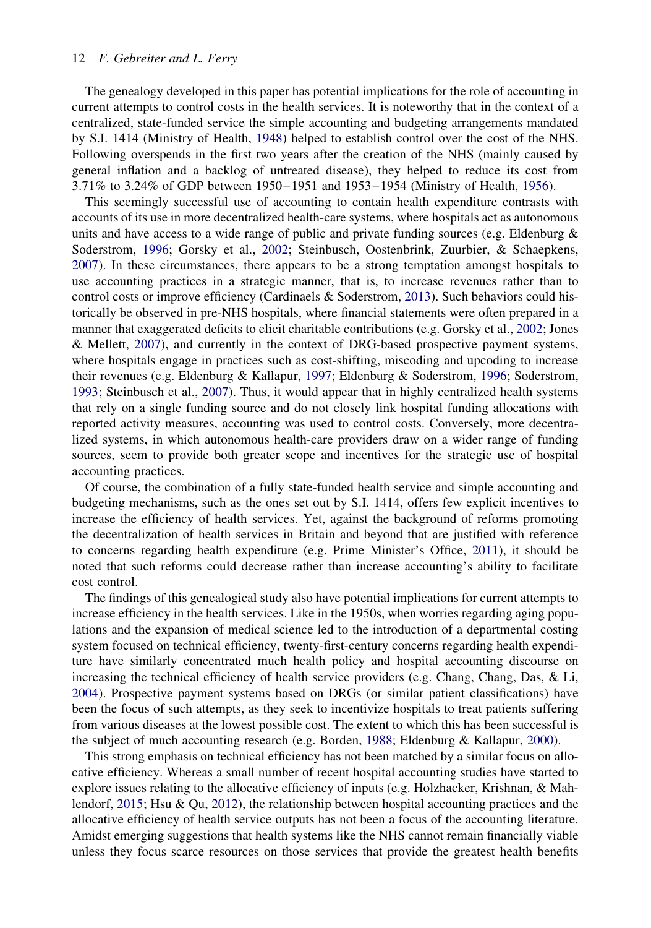## <span id="page-11-0"></span>12 F. Gebreiter and L. Ferry

The genealogy developed in this paper has potential implications for the role of accounting in current attempts to control costs in the health services. It is noteworthy that in the context of a centralized, state-funded service the simple accounting and budgeting arrangements mandated by S.I. 1414 (Ministry of Health, [1948](#page-13-0)) helped to establish control over the cost of the NHS. Following overspends in the first two years after the creation of the NHS (mainly caused by general inflation and a backlog of untreated disease), they helped to reduce its cost from 3.71% to 3.24% of GDP between 1950 – 1951 and 1953 – 1954 (Ministry of Health, [1956\)](#page-13-0).

This seemingly successful use of accounting to contain health expenditure contrasts with accounts of its use in more decentralized health-care systems, where hospitals act as autonomous units and have access to a wide range of public and private funding sources (e.g. Eldenburg  $\&$ Soderstrom, [1996](#page-12-0); Gorsky et al., [2002;](#page-13-0) Steinbusch, Oostenbrink, Zuurbier, & Schaepkens, [2007\)](#page-14-0). In these circumstances, there appears to be a strong temptation amongst hospitals to use accounting practices in a strategic manner, that is, to increase revenues rather than to control costs or improve efficiency (Cardinaels & Soderstrom, [2013\)](#page-12-0). Such behaviors could historically be observed in pre-NHS hospitals, where financial statements were often prepared in a manner that exaggerated deficits to elicit charitable contributions (e.g. Gorsky et al., [2002](#page-13-0); Jones & Mellett, [2007\)](#page-13-0), and currently in the context of DRG-based prospective payment systems, where hospitals engage in practices such as cost-shifting, miscoding and upcoding to increase their revenues (e.g. Eldenburg & Kallapur, [1997](#page-12-0); Eldenburg & Soderstrom, [1996](#page-12-0); Soderstrom, [1993;](#page-14-0) Steinbusch et al., [2007](#page-14-0)). Thus, it would appear that in highly centralized health systems that rely on a single funding source and do not closely link hospital funding allocations with reported activity measures, accounting was used to control costs. Conversely, more decentralized systems, in which autonomous health-care providers draw on a wider range of funding sources, seem to provide both greater scope and incentives for the strategic use of hospital accounting practices.

Of course, the combination of a fully state-funded health service and simple accounting and budgeting mechanisms, such as the ones set out by S.I. 1414, offers few explicit incentives to increase the efficiency of health services. Yet, against the background of reforms promoting the decentralization of health services in Britain and beyond that are justified with reference to concerns regarding health expenditure (e.g. Prime Minister's Office, [2011](#page-14-0)), it should be noted that such reforms could decrease rather than increase accounting's ability to facilitate cost control.

The findings of this genealogical study also have potential implications for current attempts to increase efficiency in the health services. Like in the 1950s, when worries regarding aging populations and the expansion of medical science led to the introduction of a departmental costing system focused on technical efficiency, twenty-first-century concerns regarding health expenditure have similarly concentrated much health policy and hospital accounting discourse on increasing the technical efficiency of health service providers (e.g. Chang, Chang, Das, & Li, [2004\)](#page-12-0). Prospective payment systems based on DRGs (or similar patient classifications) have been the focus of such attempts, as they seek to incentivize hospitals to treat patients suffering from various diseases at the lowest possible cost. The extent to which this has been successful is the subject of much accounting research (e.g. Borden, [1988](#page-12-0); Eldenburg & Kallapur, [2000\)](#page-12-0).

This strong emphasis on technical efficiency has not been matched by a similar focus on allocative efficiency. Whereas a small number of recent hospital accounting studies have started to explore issues relating to the allocative efficiency of inputs (e.g. Holzhacker, Krishnan, & Mahlendorf, [2015;](#page-13-0) Hsu & Qu, [2012](#page-13-0)), the relationship between hospital accounting practices and the allocative efficiency of health service outputs has not been a focus of the accounting literature. Amidst emerging suggestions that health systems like the NHS cannot remain financially viable unless they focus scarce resources on those services that provide the greatest health benefits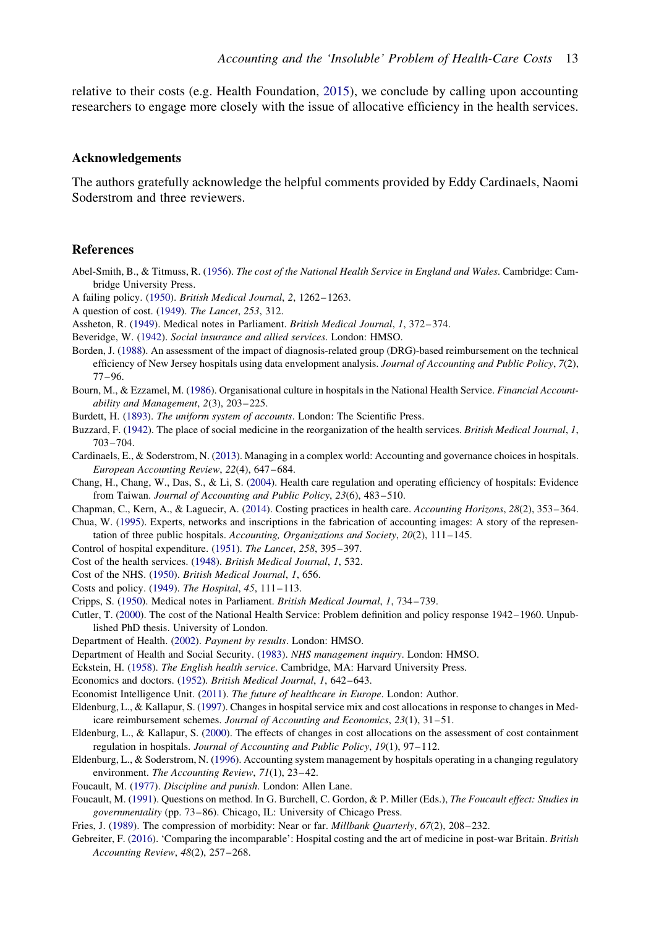<span id="page-12-0"></span>relative to their costs (e.g. Health Foundation, [2015](#page-13-0)), we conclude by calling upon accounting researchers to engage more closely with the issue of allocative efficiency in the health services.

#### Acknowledgements

The authors gratefully acknowledge the helpful comments provided by Eddy Cardinaels, Naomi Soderstrom and three reviewers.

#### References

- Abel-Smith, B., & Titmuss, R. ([1956\)](#page-7-0). The cost of the National Health Service in England and Wales. Cambridge: Cambridge University Press.
- A failing policy. [\(1950](#page-7-0)). British Medical Journal, 2, 1262– 1263.
- A question of cost. [\(1949](#page-8-0)). The Lancet, 253, 312.
- Assheton, R. [\(1949](#page-7-0)). Medical notes in Parliament. British Medical Journal, 1, 372–374.
- Beveridge, W. ([1942](#page-4-0)). Social insurance and allied services. London: HMSO.
- Borden, J. ([1988\)](#page-2-0). An assessment of the impact of diagnosis-related group (DRG)-based reimbursement on the technical efficiency of New Jersey hospitals using data envelopment analysis. Journal of Accounting and Public Policy, 7(2), 77– 96.
- Bourn, M., & Ezzamel, M. ([1986\)](#page-3-0). Organisational culture in hospitals in the National Health Service. Financial Accountability and Management, 2(3), 203– 225.
- Burdett, H. ([1893\)](#page-6-0). The uniform system of accounts. London: The Scientific Press.
- Buzzard, F. [\(1942](#page-5-0)). The place of social medicine in the reorganization of the health services. British Medical Journal, 1, 703–704.
- Cardinaels, E., & Soderstrom, N. [\(2013](#page-0-0)). Managing in a complex world: Accounting and governance choices in hospitals. European Accounting Review, 22(4), 647 –684.
- Chang, H., Chang, W., Das, S., & Li, S. ([2004\)](#page-11-0). Health care regulation and operating efficiency of hospitals: Evidence from Taiwan. Journal of Accounting and Public Policy, 23(6), 483–510.
- Chapman, C., Kern, A., & Laguecir, A. [\(2014](#page-0-0)). Costing practices in health care. Accounting Horizons, 28(2), 353– 364.

Chua, W. ([1995\)](#page-3-0). Experts, networks and inscriptions in the fabrication of accounting images: A story of the representation of three public hospitals. Accounting, Organizations and Society, 20(2), 111-145.

- Control of hospital expenditure. [\(1951](#page-9-0)). The Lancet, 258, 395-397.
- Cost of the health services. ([1948\)](#page-6-0). British Medical Journal, 1, 532.
- Cost of the NHS. ([1950\)](#page-7-0). British Medical Journal, 1, 656.
- Costs and policy. ([1949\)](#page-7-0). The Hospital, 45, 111– 113.
- Cripps, S. ([1950\)](#page-7-0). Medical notes in Parliament. British Medical Journal, 1, 734– 739.
- Cutler, T. [\(2000](#page-4-0)). The cost of the National Health Service: Problem definition and policy response 1942– 1960. Unpublished PhD thesis. University of London.
- Department of Health. [\(2002](#page-9-0)). Payment by results. London: HMSO.
- Department of Health and Social Security. ([1983\)](#page-9-0). NHS management inquiry. London: HMSO.
- Eckstein, H. [\(1958](#page-7-0)). The English health service. Cambridge, MA: Harvard University Press.
- Economics and doctors. [\(1952](#page-8-0)). British Medical Journal, 1, 642–643.
- Economist Intelligence Unit. ([2011\)](#page-2-0). The future of healthcare in Europe. London: Author.
- Eldenburg, L., & Kallapur, S. [\(1997](#page-2-0)). Changes in hospital service mix and cost allocations in response to changes in Medicare reimbursement schemes. Journal of Accounting and Economics, 23(1), 31-51.
- Eldenburg, L., & Kallapur, S. ([2000\)](#page-2-0). The effects of changes in cost allocations on the assessment of cost containment regulation in hospitals. Journal of Accounting and Public Policy, 19(1), 97– 112.
- Eldenburg, L., & Soderstrom, N. [\(1996](#page-11-0)). Accounting system management by hospitals operating in a changing regulatory environment. The Accounting Review, 71(1), 23–42.
- Foucault, M. [\(1977](#page-1-0)). Discipline and punish. London: Allen Lane.
- Foucault, M. ([1991\)](#page-1-0). Questions on method. In G. Burchell, C. Gordon, & P. Miller (Eds.), The Foucault effect: Studies in governmentality (pp. 73–86). Chicago, IL: University of Chicago Press.
- Fries, J. [\(1989](#page-3-0)). The compression of morbidity: Near or far. *Millbank Quarterly*, 67(2), 208–232.
- Gebreiter, F. ([2016](#page-10-0)). 'Comparing the incomparable': Hospital costing and the art of medicine in post-war Britain. British Accounting Review, 48(2), 257–268.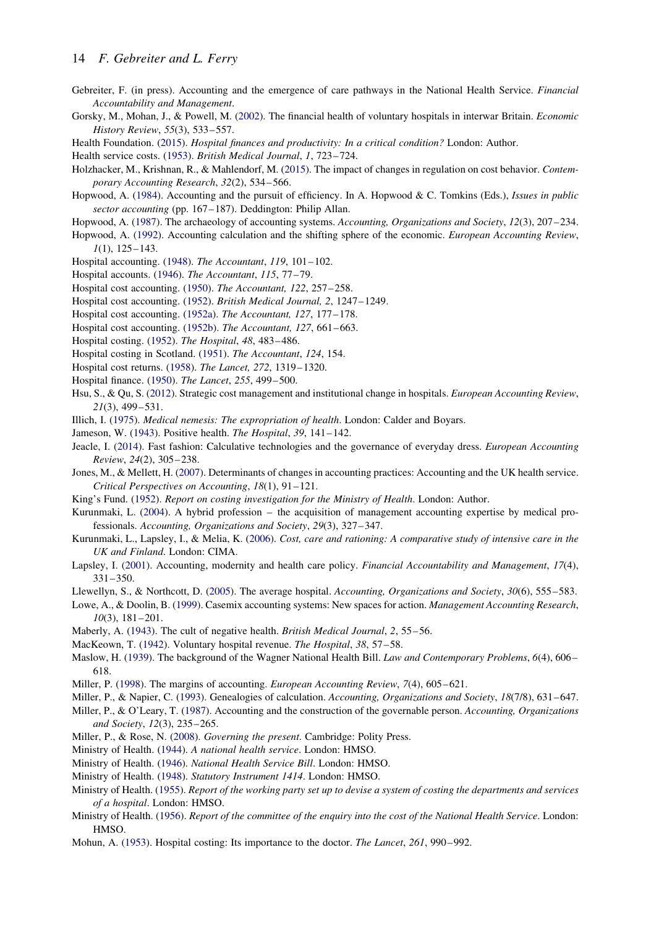- <span id="page-13-0"></span>Gebreiter, F. (in press). Accounting and the emergence of care pathways in the National Health Service. Financial Accountability and Management.
- Gorsky, M., Mohan, J., & Powell, M. ([2002\)](#page-2-0). The financial health of voluntary hospitals in interwar Britain. Economic History Review, 55(3), 533–557.
- Health Foundation. ([2015\)](#page-2-0). Hospital finances and productivity: In a critical condition? London: Author.

Health service costs. [\(1953](#page-7-0)). British Medical Journal, 1, 723-724.

- Holzhacker, M., Krishnan, R., & Mahlendorf, M. ([2015\)](#page-11-0). The impact of changes in regulation on cost behavior. Contemporary Accounting Research, 32(2), 534-566.
- Hopwood, A. [\(1984](#page-2-0)). Accounting and the pursuit of efficiency. In A. Hopwood & C. Tomkins (Eds.), Issues in public sector accounting (pp. 167-187). Deddington: Philip Allan.
- Hopwood, A. ([1987](#page-1-0)). The archaeology of accounting systems. Accounting, Organizations and Society, 12(3), 207–234.
- Hopwood, A. ([1992\)](#page-0-0). Accounting calculation and the shifting sphere of the economic. European Accounting Review,  $1(1)$ , 125–143.
- Hospital accounting. [\(1948](#page-8-0)). The Accountant, 119, 101-102.
- Hospital accounts. [\(1946](#page-6-0)). The Accountant, 115, 77–79.
- Hospital cost accounting. ([1950](#page-7-0)). The Accountant, 122, 257 –258.
- Hospital cost accounting. ([1952](#page-9-0)). British Medical Journal, 2, 1247– 1249.
- Hospital cost accounting. ([1952a](#page-9-0)). The Accountant, 127, 177 –178.
- Hospital cost accounting. ([1952b\)](#page-9-0). The Accountant, 127, 661–663.
- Hospital costing. [\(1952](#page-9-0)). The Hospital, 48, 483–486.
- Hospital costing in Scotland. [\(1951](#page-9-0)). The Accountant, 124, 154.
- Hospital cost returns. ([1958\)](#page-10-0). The Lancet, 272, 1319–1320.
- Hospital finance. [\(1950](#page-7-0)). The Lancet, 255, 499– 500.
- Hsu, S., & Qu, S. ([2012\)](#page-11-0). Strategic cost management and institutional change in hospitals. European Accounting Review, 21(3), 499–531.
- Illich, I. ([1975\)](#page-10-0). Medical nemesis: The expropriation of health. London: Calder and Boyars.
- Jameson, W. [\(1943](#page-4-0)). Positive health. The Hospital, 39, 141– 142.
- Jeacle, I. ([2014\)](#page-1-0). Fast fashion: Calculative technologies and the governance of everyday dress. European Accounting Review, 24(2), 305– 238.
- Jones, M., & Mellett, H. ([2007\)](#page-1-0). Determinants of changes in accounting practices: Accounting and the UK health service. Critical Perspectives on Accounting, 18(1), 91– 121.
- King's Fund. [\(1952](#page-9-0)). Report on costing investigation for the Ministry of Health. London: Author.
- Kurunmaki, L. ([2004\)](#page-3-0). A hybrid profession the acquisition of management accounting expertise by medical professionals. Accounting, Organizations and Society, 29(3), 327–347.
- Kurunmaki, L., Lapsley, I., & Melia, K. [\(2006\)](#page-1-0). Cost, care and rationing: A comparative study of intensive care in the UK and Finland. London: CIMA.
- Lapsley, I. ([2001\)](#page-1-0). Accounting, modernity and health care policy. Financial Accountability and Management, 17(4), 331–350.
- Llewellyn, S., & Northcott, D. ([2005\)](#page-3-0). The average hospital. Accounting, Organizations and Society, 30(6), 555–583.
- Lowe, A., & Doolin, B. ([1999](#page-3-0)). Casemix accounting systems: New spaces for action. Management Accounting Research, 10(3), 181–201.
- Maberly, A. ([1943\)](#page-5-0). The cult of negative health. British Medical Journal, 2, 55–56.
- MacKeown, T. [\(1942](#page-4-0)). Voluntary hospital revenue. The Hospital, 38, 57–58.
- Maslow, H. ([1939\)](#page-4-0). The background of the Wagner National Health Bill. Law and Contemporary Problems, 6(4), 606– 618.
- Miller, P. [\(1998](#page-1-0)). The margins of accounting. European Accounting Review, 7(4), 605–621.
- Miller, P., & Napier, C. [\(1993](#page-1-0)). Genealogies of calculation. Accounting, Organizations and Society, 18(7/8), 631–647.
- Miller, P., & O'Leary, T. [\(1987](#page-3-0)). Accounting and the construction of the governable person. Accounting, Organizations and Society, 12(3), 235–265.
- Miller, P., & Rose, N. ([2008\)](#page-1-0). Governing the present. Cambridge: Polity Press.
- Ministry of Health. ([1944\)](#page-4-0). A national health service. London: HMSO.
- Ministry of Health. ([1946\)](#page-4-0). National Health Service Bill. London: HMSO.
- Ministry of Health. ([1948\)](#page-6-0). Statutory Instrument 1414. London: HMSO.
- Ministry of Health. [\(1955](#page-9-0)). Report of the working party set up to devise a system of costing the departments and services of a hospital. London: HMSO.
- Ministry of Health. ([1956\)](#page-6-0). Report of the committee of the enquiry into the cost of the National Health Service. London: HMSO.
- Mohun, A. ([1953\)](#page-9-0). Hospital costing: Its importance to the doctor. The Lancet, 261, 990–992.